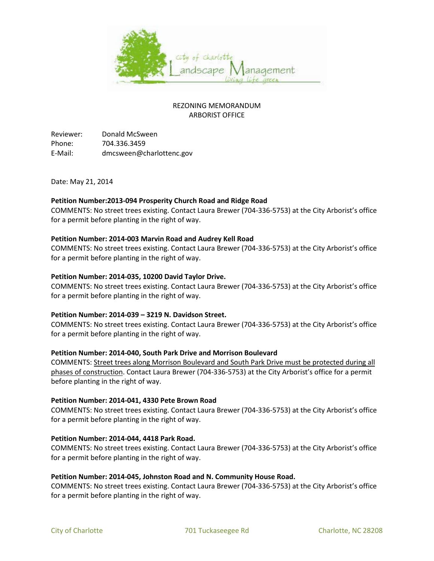

# REZONING MEMORANDUM ARBORIST OFFICE

Reviewer: Donald McSween Phone: 704.336.3459 E-Mail: dmcsween@charlottenc.gov

Date: May 21, 2014

## **Petition Number:2013-094 Prosperity Church Road and Ridge Road**

COMMENTS: No street trees existing. Contact Laura Brewer (704-336-5753) at the City Arborist's office for a permit before planting in the right of way.

## **Petition Number: 2014-003 Marvin Road and Audrey Kell Road**

COMMENTS: No street trees existing. Contact Laura Brewer (704-336-5753) at the City Arborist's office for a permit before planting in the right of way.

## **Petition Number: 2014-035, 10200 David Taylor Drive.**

COMMENTS: No street trees existing. Contact Laura Brewer (704-336-5753) at the City Arborist's office for a permit before planting in the right of way.

#### **Petition Number: 2014-039 – 3219 N. Davidson Street.**

COMMENTS: No street trees existing. Contact Laura Brewer (704-336-5753) at the City Arborist's office for a permit before planting in the right of way.

#### **Petition Number: 2014-040, South Park Drive and Morrison Boulevard**

COMMENTS: Street trees along Morrison Boulevard and South Park Drive must be protected during all phases of construction. Contact Laura Brewer (704-336-5753) at the City Arborist's office for a permit before planting in the right of way.

#### **Petition Number: 2014-041, 4330 Pete Brown Road**

COMMENTS: No street trees existing. Contact Laura Brewer (704-336-5753) at the City Arborist's office for a permit before planting in the right of way.

#### **Petition Number: 2014-044, 4418 Park Road.**

COMMENTS: No street trees existing. Contact Laura Brewer (704-336-5753) at the City Arborist's office for a permit before planting in the right of way.

#### **Petition Number: 2014-045, Johnston Road and N. Community House Road.**

COMMENTS: No street trees existing. Contact Laura Brewer (704-336-5753) at the City Arborist's office for a permit before planting in the right of way.